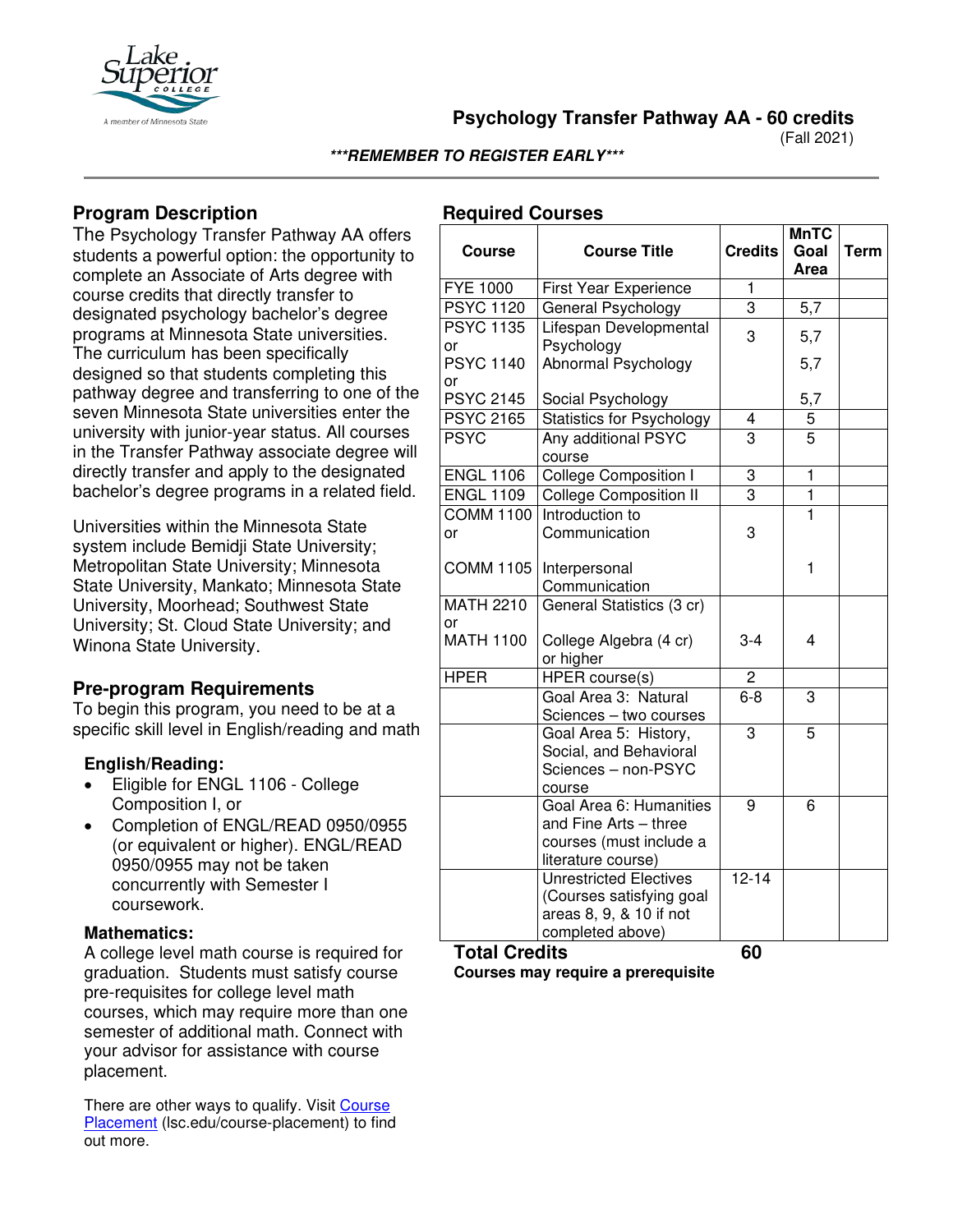

**Psychology Transfer Pathway AA - 60 credits**

(Fall 2021)

#### **\*\*\*REMEMBER TO REGISTER EARLY\*\*\***

## **Program Description**

The Psychology Transfer Pathway AA offers students a powerful option: the opportunity to complete an Associate of Arts degree with course credits that directly transfer to designated psychology bachelor's degree programs at Minnesota State universities. The curriculum has been specifically designed so that students completing this pathway degree and transferring to one of the seven Minnesota State universities enter the university with junior-year status. All courses in the Transfer Pathway associate degree will directly transfer and apply to the designated bachelor's degree programs in a related field.

Universities within the Minnesota State system include Bemidji State University; Metropolitan State University; Minnesota State University, Mankato; Minnesota State University, Moorhead; Southwest State University; St. Cloud State University; and Winona State University.

## **Pre-program Requirements**

To begin this program, you need to be at a specific skill level in English/reading and math

### **English/Reading:**

- Eligible for ENGL 1106 College Composition I, or
- Completion of ENGL/READ 0950/0955 (or equivalent or higher). ENGL/READ 0950/0955 may not be taken concurrently with Semester I coursework.

### **Mathematics:**

A college level math course is required for graduation. Students must satisfy course pre-requisites for college level math courses, which may require more than one semester of additional math. Connect with your advisor for assistance with course placement.

There are other ways to qualify. Visit [Course](https://www.lsc.edu/course-placement/)  [Placement](https://www.lsc.edu/course-placement/) (lsc.edu/course-placement) to find out more.

## **Required Courses**

| <b>Course</b>          | <b>Course Title</b>                                                                               | <b>Credits</b> | <b>MnTC</b><br>Goal<br>Area | <b>Term</b> |
|------------------------|---------------------------------------------------------------------------------------------------|----------------|-----------------------------|-------------|
| <b>FYE 1000</b>        | <b>First Year Experience</b>                                                                      | 1              |                             |             |
| <b>PSYC 1120</b>       | General Psychology                                                                                | $\overline{3}$ | 5,7                         |             |
| <b>PSYC 1135</b><br>or | Lifespan Developmental<br>Psychology                                                              | 3              | 5,7                         |             |
| <b>PSYC 1140</b><br>or | Abnormal Psychology                                                                               |                | 5,7                         |             |
| <b>PSYC 2145</b>       | Social Psychology                                                                                 |                | 5,7                         |             |
| <b>PSYC 2165</b>       | <b>Statistics for Psychology</b>                                                                  | 4              | 5                           |             |
| <b>PSYC</b>            | Any additional PSYC<br>course                                                                     | 3              | 5                           |             |
| <b>ENGL 1106</b>       | <b>College Composition I</b>                                                                      | $\overline{3}$ | 1                           |             |
| <b>ENGL 1109</b>       | <b>College Composition II</b>                                                                     | 3              | 1                           |             |
| <b>COMM 1100</b>       | Introduction to                                                                                   |                | 1                           |             |
| or                     | Communication                                                                                     | 3              |                             |             |
| <b>COMM 1105</b>       | Interpersonal<br>Communication                                                                    |                | 1                           |             |
| <b>MATH 2210</b><br>or | General Statistics (3 cr)                                                                         |                |                             |             |
| <b>MATH 1100</b>       | College Algebra (4 cr)<br>or higher                                                               | $3 - 4$        | 4                           |             |
| <b>HPER</b>            | HPER course(s)                                                                                    | $\overline{c}$ |                             |             |
|                        | Goal Area 3: Natural<br>Sciences - two courses                                                    | $6 - 8$        | $\overline{3}$              |             |
|                        | Goal Area 5: History,<br>Social, and Behavioral<br>Sciences - non-PSYC<br>course                  | 3              | $\overline{5}$              |             |
|                        | Goal Area 6: Humanities<br>and Fine Arts - three<br>courses (must include a<br>literature course) | 9              | 6                           |             |
|                        | Unrestricted Electives<br>(Courses satisfying goal<br>areas 8, 9, & 10 if not<br>completed above) | $12 - 14$      |                             |             |
| <b>Total Credits</b>   |                                                                                                   | 60             |                             |             |

**Courses may require a prerequisite**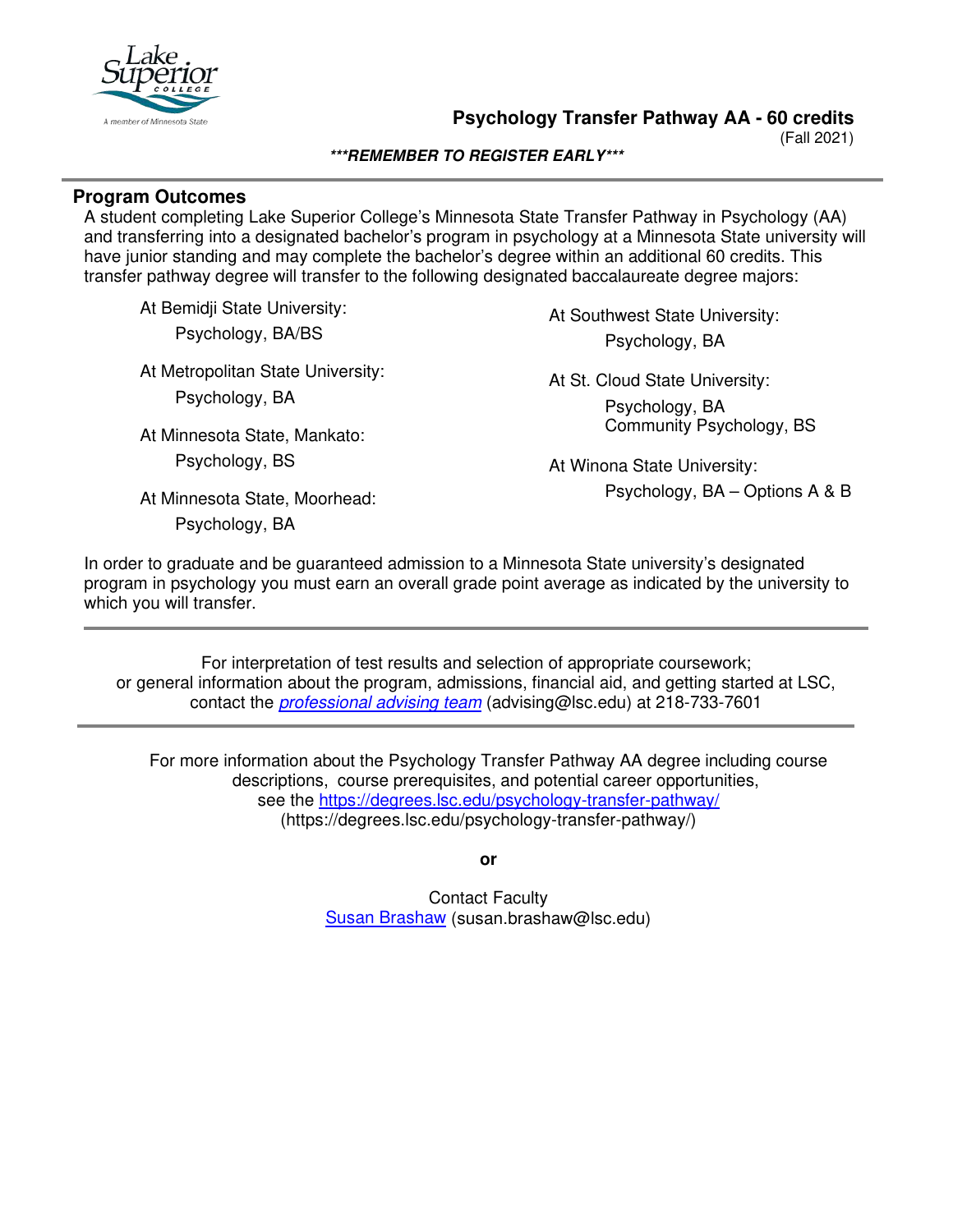

**Psychology Transfer Pathway AA - 60 credits**

(Fall 2021)

#### **\*\*\*REMEMBER TO REGISTER EARLY\*\*\***

### **Program Outcomes**

A student completing Lake Superior College's Minnesota State Transfer Pathway in Psychology (AA) and transferring into a designated bachelor's program in psychology at a Minnesota State university will have junior standing and may complete the bachelor's degree within an additional 60 credits. This transfer pathway degree will transfer to the following designated baccalaureate degree majors:

At Bemidji State University: Psychology, BA/BS

At Metropolitan State University: Psychology, BA

At Minnesota State, Mankato:

Psychology, BS

At Southwest State University: Psychology, BA

At St. Cloud State University: Psychology, BA Community Psychology, BS

At Winona State University: Psychology, BA – Options A & B

At Minnesota State, Moorhead:

Psychology, BA

In order to graduate and be guaranteed admission to a Minnesota State university's designated program in psychology you must earn an overall grade point average as indicated by the university to which you will transfer.

For interpretation of test results and selection of appropriate coursework; or general information about the program, admissions, financial aid, and getting started at LSC, contact the *[professional advising team](mailto:advising@lsc.edu)* (advising@lsc.edu) at 218-733-7601

For more information about the Psychology Transfer Pathway AA degree including course descriptions, course prerequisites, and potential career opportunities, see the <https://degrees.lsc.edu/psychology-transfer-pathway/> (https://degrees.lsc.edu/psychology-transfer-pathway/)

**or**

Contact Faculty [Susan Brashaw](mailto:susan.brashaw@lsc.edu) (susan.brashaw@lsc.edu)